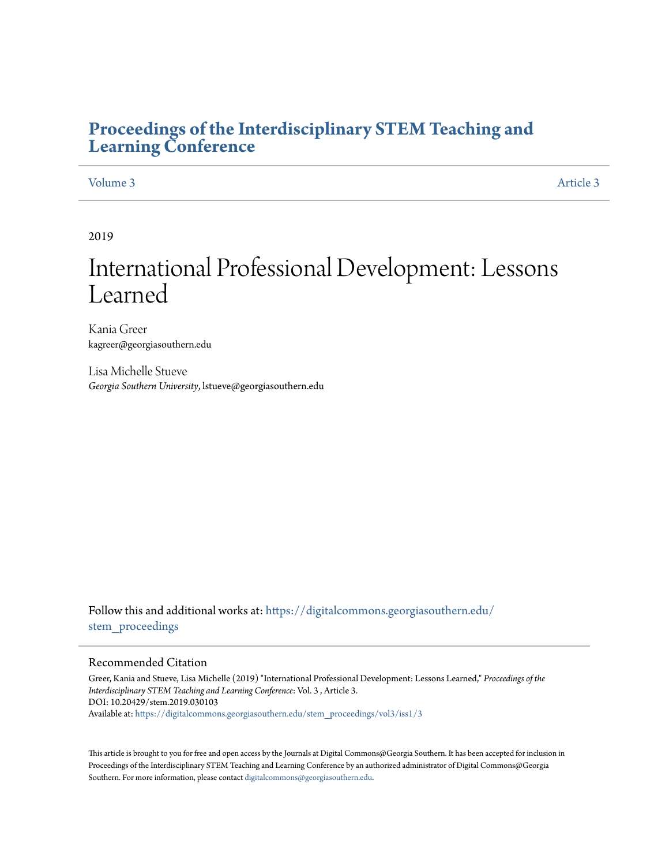## **[Proceedings of the Interdisciplinary STEM Teaching and](https://digitalcommons.georgiasouthern.edu/stem_proceedings?utm_source=digitalcommons.georgiasouthern.edu%2Fstem_proceedings%2Fvol3%2Fiss1%2F3&utm_medium=PDF&utm_campaign=PDFCoverPages) [Learning Conference](https://digitalcommons.georgiasouthern.edu/stem_proceedings?utm_source=digitalcommons.georgiasouthern.edu%2Fstem_proceedings%2Fvol3%2Fiss1%2F3&utm_medium=PDF&utm_campaign=PDFCoverPages)**

[Volume 3](https://digitalcommons.georgiasouthern.edu/stem_proceedings/vol3?utm_source=digitalcommons.georgiasouthern.edu%2Fstem_proceedings%2Fvol3%2Fiss1%2F3&utm_medium=PDF&utm_campaign=PDFCoverPages) [Article 3](https://digitalcommons.georgiasouthern.edu/stem_proceedings/vol3/iss1/3?utm_source=digitalcommons.georgiasouthern.edu%2Fstem_proceedings%2Fvol3%2Fiss1%2F3&utm_medium=PDF&utm_campaign=PDFCoverPages)

2019

# International Professional Development: Lessons Learned

Kania Greer kagreer@georgiasouthern.edu

Lisa Michelle Stueve *Georgia Southern University*, lstueve@georgiasouthern.edu

Follow this and additional works at: [https://digitalcommons.georgiasouthern.edu/](https://digitalcommons.georgiasouthern.edu/stem_proceedings?utm_source=digitalcommons.georgiasouthern.edu%2Fstem_proceedings%2Fvol3%2Fiss1%2F3&utm_medium=PDF&utm_campaign=PDFCoverPages) stem proceedings

#### Recommended Citation

Greer, Kania and Stueve, Lisa Michelle (2019) "International Professional Development: Lessons Learned," *Proceedings of the Interdisciplinary STEM Teaching and Learning Conference*: Vol. 3 , Article 3. DOI: 10.20429/stem.2019.030103 Available at: [https://digitalcommons.georgiasouthern.edu/stem\\_proceedings/vol3/iss1/3](https://digitalcommons.georgiasouthern.edu/stem_proceedings/vol3/iss1/3?utm_source=digitalcommons.georgiasouthern.edu%2Fstem_proceedings%2Fvol3%2Fiss1%2F3&utm_medium=PDF&utm_campaign=PDFCoverPages)

This article is brought to you for free and open access by the Journals at Digital Commons@Georgia Southern. It has been accepted for inclusion in Proceedings of the Interdisciplinary STEM Teaching and Learning Conference by an authorized administrator of Digital Commons@Georgia Southern. For more information, please contact [digitalcommons@georgiasouthern.edu.](mailto:digitalcommons@georgiasouthern.edu)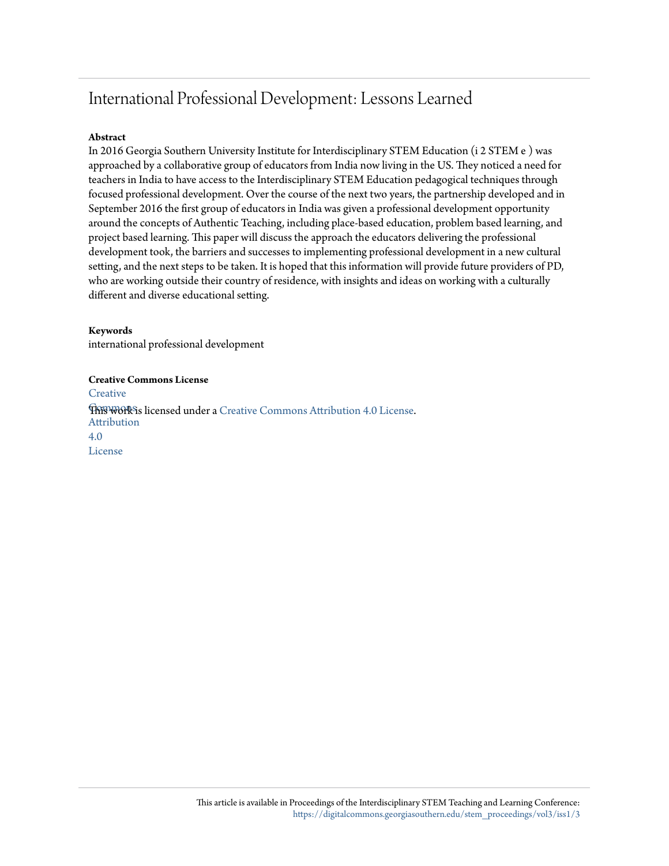# International Professional Development: Lessons Learned

#### **Abstract**

In 2016 Georgia Southern University Institute for Interdisciplinary STEM Education (i 2 STEM e ) was approached by a collaborative group of educators from India now living in the US. They noticed a need for teachers in India to have access to the Interdisciplinary STEM Education pedagogical techniques through focused professional development. Over the course of the next two years, the partnership developed and in September 2016 the first group of educators in India was given a professional development opportunity around the concepts of Authentic Teaching, including place-based education, problem based learning, and project based learning. This paper will discuss the approach the educators delivering the professional development took, the barriers and successes to implementing professional development in a new cultural setting, and the next steps to be taken. It is hoped that this information will provide future providers of PD, who are working outside their country of residence, with insights and ideas on working with a culturally different and diverse educational setting.

#### **Keywords**

international professional development

**Creative Commons License [Creative](http://creativecommons.org/licenses/by/4.0/) This work is licensed under a** [Creative Commons Attribution 4.0 License.](http://creativecommons.org/licenses/by/4.0/) Attribution 4.0 License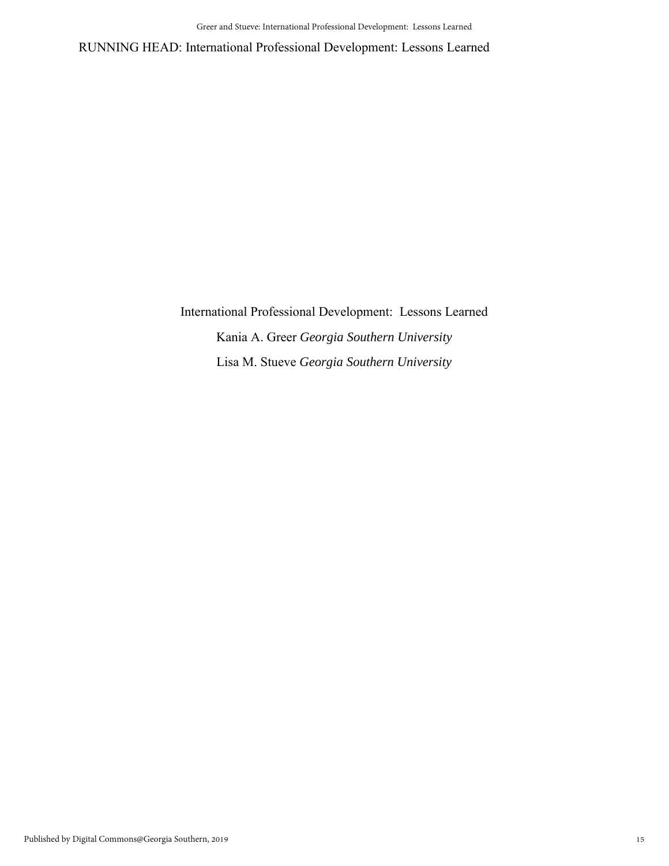RUNNING HEAD: International Professional Development: Lessons Learned

International Professional Development: Lessons Learned Kania A. Greer *Georgia Southern University* Lisa M. Stueve *Georgia Southern University*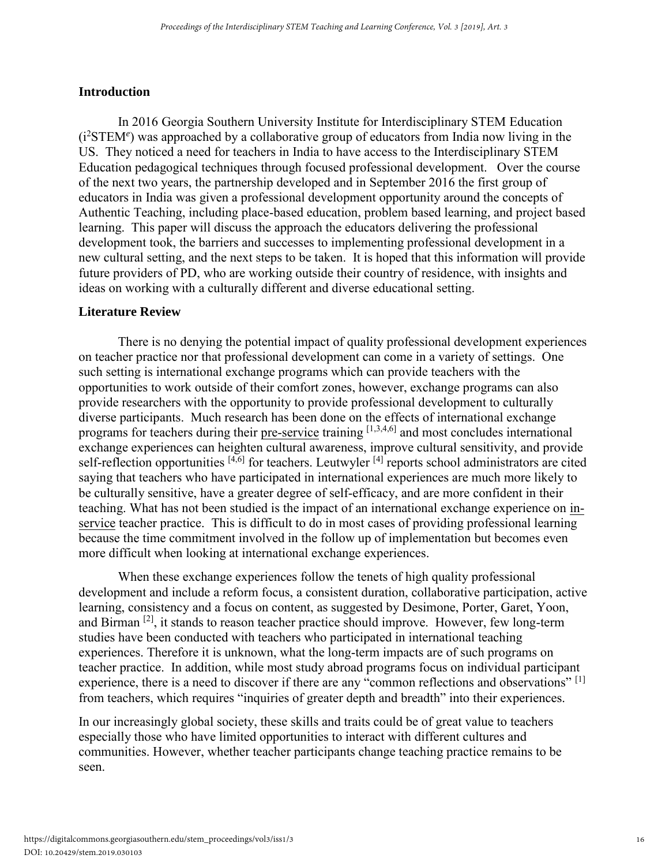#### **Introduction**

In 2016 Georgia Southern University Institute for Interdisciplinary STEM Education (i<sup>2</sup>STEM*<sup>e</sup>* ) was approached by a collaborative group of educators from India now living in the US. They noticed a need for teachers in India to have access to the Interdisciplinary STEM Education pedagogical techniques through focused professional development. Over the course of the next two years, the partnership developed and in September 2016 the first group of educators in India was given a professional development opportunity around the concepts of Authentic Teaching, including place-based education, problem based learning, and project based learning. This paper will discuss the approach the educators delivering the professional development took, the barriers and successes to implementing professional development in a new cultural setting, and the next steps to be taken. It is hoped that this information will provide future providers of PD, who are working outside their country of residence, with insights and ideas on working with a culturally different and diverse educational setting.

#### **Literature Review**

There is no denying the potential impact of quality professional development experiences on teacher practice nor that professional development can come in a variety of settings. One such setting is international exchange programs which can provide teachers with the opportunities to work outside of their comfort zones, however, exchange programs can also provide researchers with the opportunity to provide professional development to culturally diverse participants. Much research has been done on the effects of international exchange programs for teachers during their pre-service training [1,3,4,6] and most concludes international exchange experiences can heighten cultural awareness, improve cultural sensitivity, and provide self-reflection opportunities [4,6] for teachers. Leutwyler [4] reports school administrators are cited saying that teachers who have participated in international experiences are much more likely to be culturally sensitive, have a greater degree of self-efficacy, and are more confident in their teaching. What has not been studied is the impact of an international exchange experience on inservice teacher practice. This is difficult to do in most cases of providing professional learning because the time commitment involved in the follow up of implementation but becomes even more difficult when looking at international exchange experiences.

When these exchange experiences follow the tenets of high quality professional development and include a reform focus, a consistent duration, collaborative participation, active learning, consistency and a focus on content, as suggested by Desimone, Porter, Garet, Yoon, and Birman  $[2]$ , it stands to reason teacher practice should improve. However, few long-term studies have been conducted with teachers who participated in international teaching experiences. Therefore it is unknown, what the long-term impacts are of such programs on teacher practice. In addition, while most study abroad programs focus on individual participant experience, there is a need to discover if there are any "common reflections and observations" [1] from teachers, which requires "inquiries of greater depth and breadth" into their experiences.

In our increasingly global society, these skills and traits could be of great value to teachers especially those who have limited opportunities to interact with different cultures and communities. However, whether teacher participants change teaching practice remains to be seen.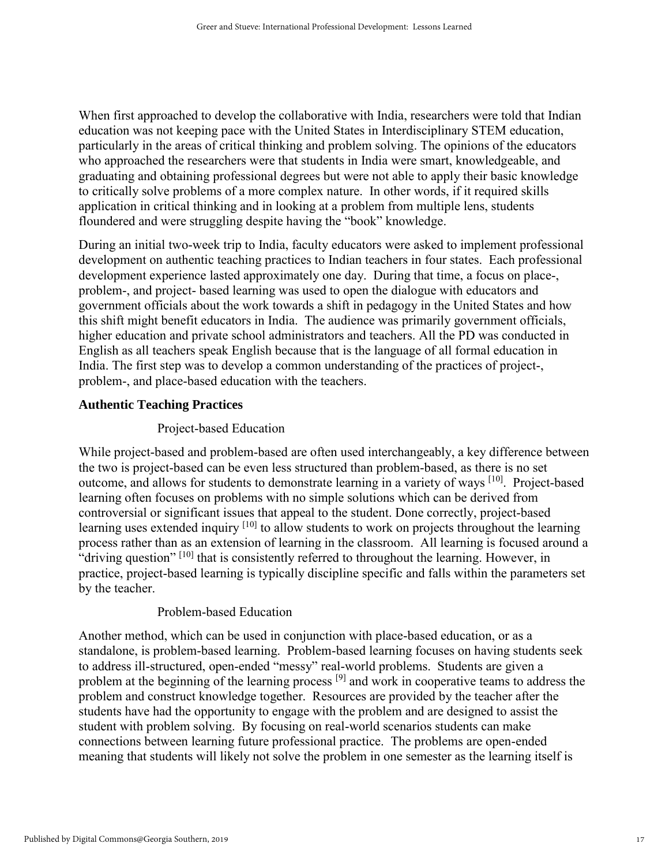When first approached to develop the collaborative with India, researchers were told that Indian education was not keeping pace with the United States in Interdisciplinary STEM education, particularly in the areas of critical thinking and problem solving. The opinions of the educators who approached the researchers were that students in India were smart, knowledgeable, and graduating and obtaining professional degrees but were not able to apply their basic knowledge to critically solve problems of a more complex nature. In other words, if it required skills application in critical thinking and in looking at a problem from multiple lens, students floundered and were struggling despite having the "book" knowledge.

During an initial two-week trip to India, faculty educators were asked to implement professional development on authentic teaching practices to Indian teachers in four states. Each professional development experience lasted approximately one day. During that time, a focus on place-, problem-, and project- based learning was used to open the dialogue with educators and government officials about the work towards a shift in pedagogy in the United States and how this shift might benefit educators in India. The audience was primarily government officials, higher education and private school administrators and teachers. All the PD was conducted in English as all teachers speak English because that is the language of all formal education in India. The first step was to develop a common understanding of the practices of project-, problem-, and place-based education with the teachers.

#### **Authentic Teaching Practices**

#### Project-based Education

While project-based and problem-based are often used interchangeably, a key difference between the two is project-based can be even less structured than problem-based, as there is no set outcome, and allows for students to demonstrate learning in a variety of ways [10]. Project-based learning often focuses on problems with no simple solutions which can be derived from controversial or significant issues that appeal to the student. Done correctly, project-based learning uses extended inquiry <sup>[10]</sup> to allow students to work on projects throughout the learning process rather than as an extension of learning in the classroom. All learning is focused around a "driving question" <sup>[10]</sup> that is consistently referred to throughout the learning. However, in practice, project-based learning is typically discipline specific and falls within the parameters set by the teacher.

#### Problem-based Education

Another method, which can be used in conjunction with place-based education, or as a standalone, is problem-based learning. Problem-based learning focuses on having students seek to address ill-structured, open-ended "messy" real-world problems. Students are given a problem at the beginning of the learning process [9] and work in cooperative teams to address the problem and construct knowledge together. Resources are provided by the teacher after the students have had the opportunity to engage with the problem and are designed to assist the student with problem solving. By focusing on real-world scenarios students can make connections between learning future professional practice. The problems are open-ended meaning that students will likely not solve the problem in one semester as the learning itself is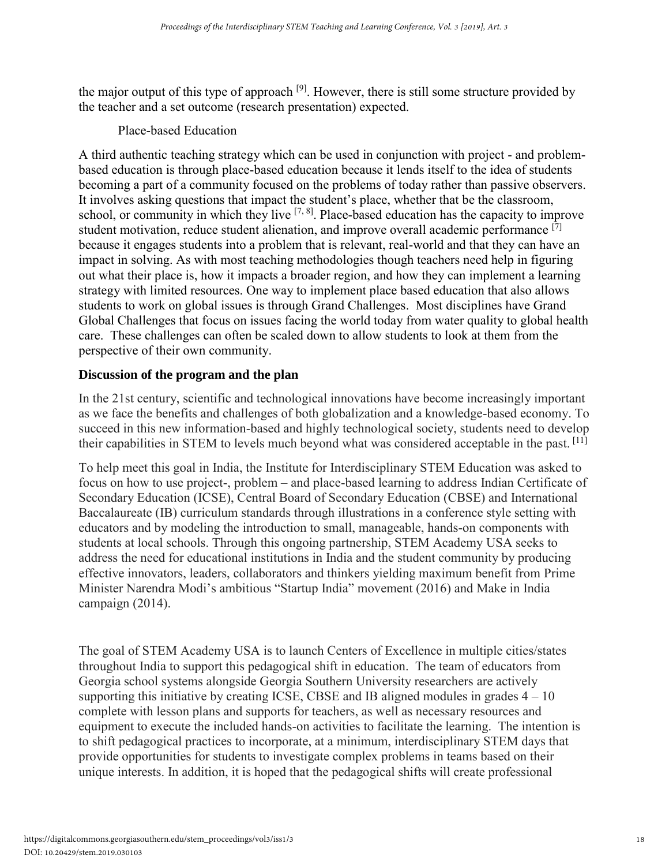the major output of this type of approach  $[9]$ . However, there is still some structure provided by the teacher and a set outcome (research presentation) expected.

### Place-based Education

A third authentic teaching strategy which can be used in conjunction with project - and problembased education is through place-based education because it lends itself to the idea of students becoming a part of a community focused on the problems of today rather than passive observers. It involves asking questions that impact the student's place, whether that be the classroom, school, or community in which they live  $[7, 8]$ . Place-based education has the capacity to improve student motivation, reduce student alienation, and improve overall academic performance <sup>[7]</sup> because it engages students into a problem that is relevant, real-world and that they can have an impact in solving. As with most teaching methodologies though teachers need help in figuring out what their place is, how it impacts a broader region, and how they can implement a learning strategy with limited resources. One way to implement place based education that also allows students to work on global issues is through Grand Challenges. Most disciplines have Grand Global Challenges that focus on issues facing the world today from water quality to global health care. These challenges can often be scaled down to allow students to look at them from the perspective of their own community.

#### **Discussion of the program and the plan**

In the 21st century, scientific and technological innovations have become increasingly important as we face the benefits and challenges of both globalization and a knowledge-based economy. To succeed in this new information-based and highly technological society, students need to develop their capabilities in STEM to levels much beyond what was considered acceptable in the past. [11]

To help meet this goal in India, the Institute for Interdisciplinary STEM Education was asked to focus on how to use project-, problem – and place-based learning to address Indian Certificate of Secondary Education (ICSE), Central Board of Secondary Education (CBSE) and International Baccalaureate (IB) curriculum standards through illustrations in a conference style setting with educators and by modeling the introduction to small, manageable, hands-on components with students at local schools. Through this ongoing partnership, STEM Academy USA seeks to address the need for educational institutions in India and the student community by producing effective innovators, leaders, collaborators and thinkers yielding maximum benefit from Prime Minister Narendra Modi's ambitious "Startup India" movement (2016) and Make in India campaign (2014).

The goal of STEM Academy USA is to launch Centers of Excellence in multiple cities/states throughout India to support this pedagogical shift in education. The team of educators from Georgia school systems alongside Georgia Southern University researchers are actively supporting this initiative by creating ICSE, CBSE and IB aligned modules in grades  $4 - 10$ complete with lesson plans and supports for teachers, as well as necessary resources and equipment to execute the included hands-on activities to facilitate the learning. The intention is to shift pedagogical practices to incorporate, at a minimum, interdisciplinary STEM days that provide opportunities for students to investigate complex problems in teams based on their unique interests. In addition, it is hoped that the pedagogical shifts will create professional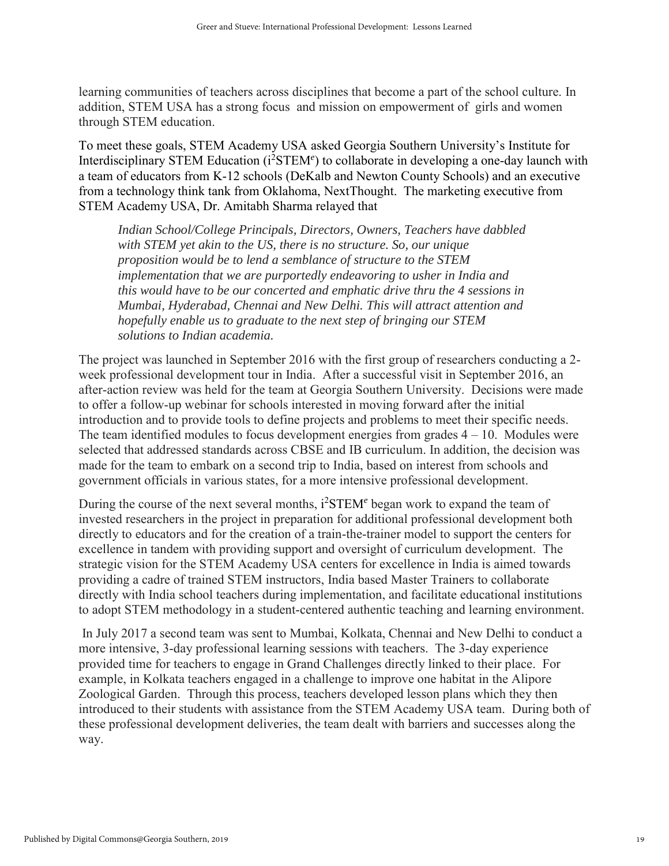learning communities of teachers across disciplines that become a part of the school culture. In addition, STEM USA has a strong focus and mission on empowerment of girls and women through STEM education.

To meet these goals, STEM Academy USA asked Georgia Southern University's Institute for Interdisciplinary STEM Education (i<sup>2</sup>STEM<sup>e</sup>) to collaborate in developing a one-day launch with a team of educators from K-12 schools (DeKalb and Newton County Schools) and an executive from a technology think tank from Oklahoma, NextThought. The marketing executive from STEM Academy USA, Dr. Amitabh Sharma relayed that

*Indian School/College Principals, Directors, Owners, Teachers have dabbled with STEM yet akin to the US, there is no structure. So, our unique proposition would be to lend a semblance of structure to the STEM implementation that we are purportedly endeavoring to usher in India and this would have to be our concerted and emphatic drive thru the 4 sessions in Mumbai, Hyderabad, Chennai and New Delhi. This will attract attention and hopefully enable us to graduate to the next step of bringing our STEM solutions to Indian academia.*

The project was launched in September 2016 with the first group of researchers conducting a 2 week professional development tour in India. After a successful visit in September 2016, an after-action review was held for the team at Georgia Southern University. Decisions were made to offer a follow-up webinar for schools interested in moving forward after the initial introduction and to provide tools to define projects and problems to meet their specific needs. The team identified modules to focus development energies from grades  $4 - 10$ . Modules were selected that addressed standards across CBSE and IB curriculum. In addition, the decision was made for the team to embark on a second trip to India, based on interest from schools and government officials in various states, for a more intensive professional development.

During the course of the next several months, i <sup>2</sup>STEM*<sup>e</sup>* began work to expand the team of invested researchers in the project in preparation for additional professional development both directly to educators and for the creation of a train-the-trainer model to support the centers for excellence in tandem with providing support and oversight of curriculum development. The strategic vision for the STEM Academy USA centers for excellence in India is aimed towards providing a cadre of trained STEM instructors, India based Master Trainers to collaborate directly with India school teachers during implementation, and facilitate educational institutions to adopt STEM methodology in a student-centered authentic teaching and learning environment.

In July 2017 a second team was sent to Mumbai, Kolkata, Chennai and New Delhi to conduct a more intensive, 3-day professional learning sessions with teachers. The 3-day experience provided time for teachers to engage in Grand Challenges directly linked to their place. For example, in Kolkata teachers engaged in a challenge to improve one habitat in the Alipore Zoological Garden. Through this process, teachers developed lesson plans which they then introduced to their students with assistance from the STEM Academy USA team. During both of these professional development deliveries, the team dealt with barriers and successes along the way.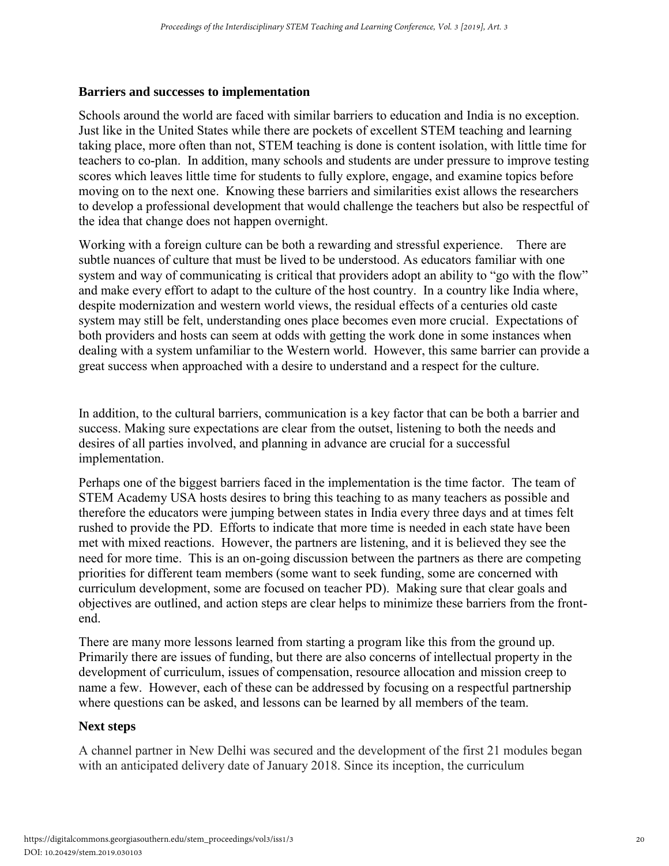#### **Barriers and successes to implementation**

Schools around the world are faced with similar barriers to education and India is no exception. Just like in the United States while there are pockets of excellent STEM teaching and learning taking place, more often than not, STEM teaching is done is content isolation, with little time for teachers to co-plan. In addition, many schools and students are under pressure to improve testing scores which leaves little time for students to fully explore, engage, and examine topics before moving on to the next one. Knowing these barriers and similarities exist allows the researchers to develop a professional development that would challenge the teachers but also be respectful of the idea that change does not happen overnight.

Working with a foreign culture can be both a rewarding and stressful experience. There are subtle nuances of culture that must be lived to be understood. As educators familiar with one system and way of communicating is critical that providers adopt an ability to "go with the flow" and make every effort to adapt to the culture of the host country. In a country like India where, despite modernization and western world views, the residual effects of a centuries old caste system may still be felt, understanding ones place becomes even more crucial. Expectations of both providers and hosts can seem at odds with getting the work done in some instances when dealing with a system unfamiliar to the Western world. However, this same barrier can provide a great success when approached with a desire to understand and a respect for the culture.

In addition, to the cultural barriers, communication is a key factor that can be both a barrier and success. Making sure expectations are clear from the outset, listening to both the needs and desires of all parties involved, and planning in advance are crucial for a successful implementation.

Perhaps one of the biggest barriers faced in the implementation is the time factor. The team of STEM Academy USA hosts desires to bring this teaching to as many teachers as possible and therefore the educators were jumping between states in India every three days and at times felt rushed to provide the PD. Efforts to indicate that more time is needed in each state have been met with mixed reactions. However, the partners are listening, and it is believed they see the need for more time. This is an on-going discussion between the partners as there are competing priorities for different team members (some want to seek funding, some are concerned with curriculum development, some are focused on teacher PD). Making sure that clear goals and objectives are outlined, and action steps are clear helps to minimize these barriers from the frontend.

There are many more lessons learned from starting a program like this from the ground up. Primarily there are issues of funding, but there are also concerns of intellectual property in the development of curriculum, issues of compensation, resource allocation and mission creep to name a few. However, each of these can be addressed by focusing on a respectful partnership where questions can be asked, and lessons can be learned by all members of the team.

#### **Next steps**

A channel partner in New Delhi was secured and the development of the first 21 modules began with an anticipated delivery date of January 2018. Since its inception, the curriculum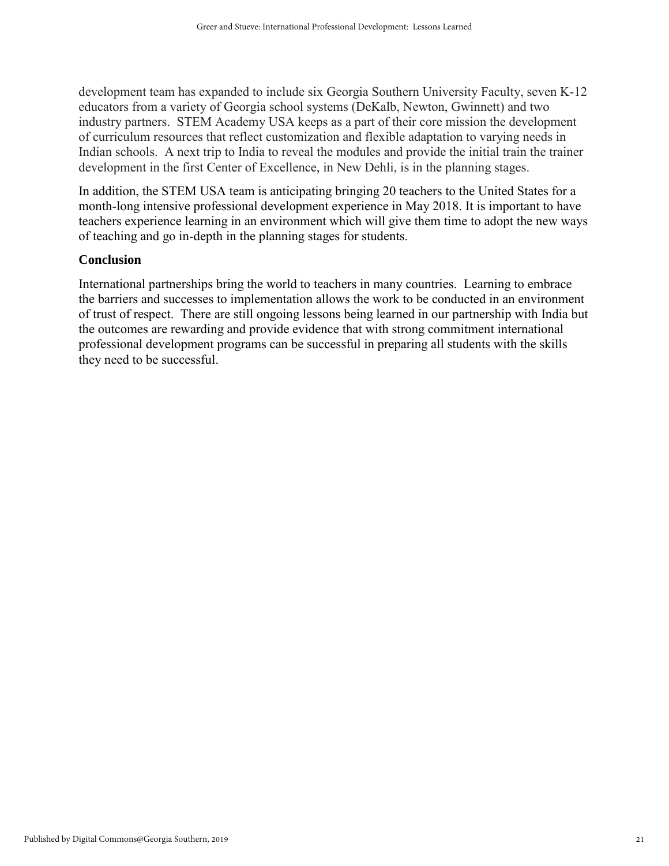development team has expanded to include six Georgia Southern University Faculty, seven K-12 educators from a variety of Georgia school systems (DeKalb, Newton, Gwinnett) and two industry partners. STEM Academy USA keeps as a part of their core mission the development of curriculum resources that reflect customization and flexible adaptation to varying needs in Indian schools. A next trip to India to reveal the modules and provide the initial train the trainer development in the first Center of Excellence, in New Dehli, is in the planning stages.

In addition, the STEM USA team is anticipating bringing 20 teachers to the United States for a month-long intensive professional development experience in May 2018. It is important to have teachers experience learning in an environment which will give them time to adopt the new ways of teaching and go in-depth in the planning stages for students.

#### **Conclusion**

International partnerships bring the world to teachers in many countries. Learning to embrace the barriers and successes to implementation allows the work to be conducted in an environment of trust of respect. There are still ongoing lessons being learned in our partnership with India but the outcomes are rewarding and provide evidence that with strong commitment international professional development programs can be successful in preparing all students with the skills they need to be successful.